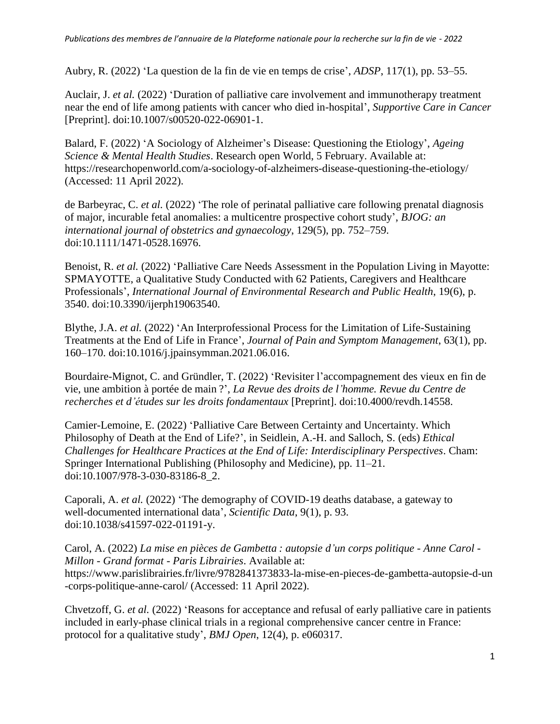Aubry, R. (2022) 'La question de la fin de vie en temps de crise', *ADSP*, 117(1), pp. 53–55.

Auclair, J. *et al.* (2022) 'Duration of palliative care involvement and immunotherapy treatment near the end of life among patients with cancer who died in-hospital', *Supportive Care in Cancer* [Preprint]. doi:10.1007/s00520-022-06901-1.

Balard, F. (2022) 'A Sociology of Alzheimer's Disease: Questioning the Etiology', *Ageing Science & Mental Health Studies*. Research open World, 5 February. Available at: https://researchopenworld.com/a-sociology-of-alzheimers-disease-questioning-the-etiology/ (Accessed: 11 April 2022).

de Barbeyrac, C. *et al.* (2022) 'The role of perinatal palliative care following prenatal diagnosis of major, incurable fetal anomalies: a multicentre prospective cohort study', *BJOG: an international journal of obstetrics and gynaecology*, 129(5), pp. 752–759. doi:10.1111/1471-0528.16976.

Benoist, R. *et al.* (2022) 'Palliative Care Needs Assessment in the Population Living in Mayotte: SPMAYOTTE, a Qualitative Study Conducted with 62 Patients, Caregivers and Healthcare Professionals', *International Journal of Environmental Research and Public Health*, 19(6), p. 3540. doi:10.3390/ijerph19063540.

Blythe, J.A. *et al.* (2022) 'An Interprofessional Process for the Limitation of Life-Sustaining Treatments at the End of Life in France', *Journal of Pain and Symptom Management*, 63(1), pp. 160–170. doi:10.1016/j.jpainsymman.2021.06.016.

Bourdaire-Mignot, C. and Gründler, T. (2022) 'Revisiter l'accompagnement des vieux en fin de vie, une ambition à portée de main ?', *La Revue des droits de l'homme. Revue du Centre de recherches et d'études sur les droits fondamentaux* [Preprint]. doi:10.4000/revdh.14558.

Camier-Lemoine, E. (2022) 'Palliative Care Between Certainty and Uncertainty. Which Philosophy of Death at the End of Life?', in Seidlein, A.-H. and Salloch, S. (eds) *Ethical Challenges for Healthcare Practices at the End of Life: Interdisciplinary Perspectives*. Cham: Springer International Publishing (Philosophy and Medicine), pp. 11–21. doi:10.1007/978-3-030-83186-8\_2.

Caporali, A. *et al.* (2022) 'The demography of COVID-19 deaths database, a gateway to well-documented international data', *Scientific Data*, 9(1), p. 93. doi:10.1038/s41597-022-01191-y.

Carol, A. (2022) *La mise en pièces de Gambetta : autopsie d'un corps politique - Anne Carol - Millon - Grand format - Paris Librairies*. Available at: https://www.parislibrairies.fr/livre/9782841373833-la-mise-en-pieces-de-gambetta-autopsie-d-un -corps-politique-anne-carol/ (Accessed: 11 April 2022).

Chvetzoff, G. *et al.* (2022) 'Reasons for acceptance and refusal of early palliative care in patients included in early-phase clinical trials in a regional comprehensive cancer centre in France: protocol for a qualitative study', *BMJ Open*, 12(4), p. e060317.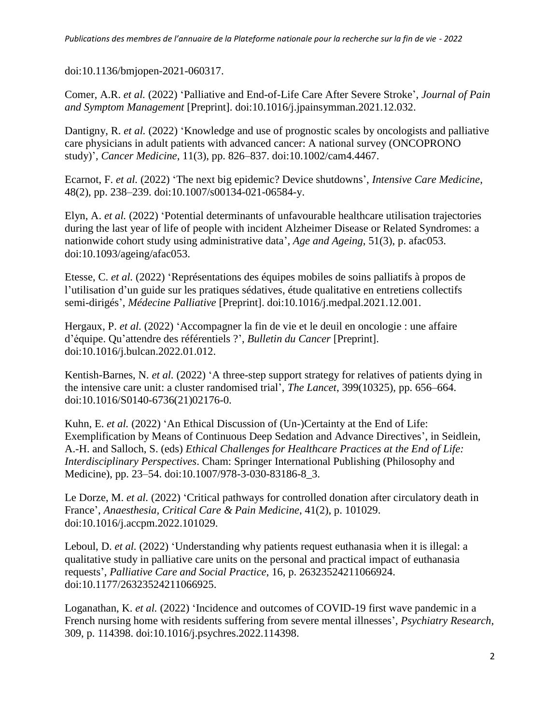doi:10.1136/bmjopen-2021-060317.

Comer, A.R. *et al.* (2022) 'Palliative and End-of-Life Care After Severe Stroke', *Journal of Pain and Symptom Management* [Preprint]. doi:10.1016/j.jpainsymman.2021.12.032.

Dantigny, R. *et al.* (2022) 'Knowledge and use of prognostic scales by oncologists and palliative care physicians in adult patients with advanced cancer: A national survey (ONCOPRONO study)', *Cancer Medicine*, 11(3), pp. 826–837. doi:10.1002/cam4.4467.

Ecarnot, F. *et al.* (2022) 'The next big epidemic? Device shutdowns', *Intensive Care Medicine*, 48(2), pp. 238–239. doi:10.1007/s00134-021-06584-y.

Elyn, A. *et al.* (2022) 'Potential determinants of unfavourable healthcare utilisation trajectories during the last year of life of people with incident Alzheimer Disease or Related Syndromes: a nationwide cohort study using administrative data', *Age and Ageing*, 51(3), p. afac053. doi:10.1093/ageing/afac053.

Etesse, C. *et al.* (2022) 'Représentations des équipes mobiles de soins palliatifs à propos de l'utilisation d'un guide sur les pratiques sédatives, étude qualitative en entretiens collectifs semi-dirigés', *Médecine Palliative* [Preprint]. doi:10.1016/j.medpal.2021.12.001.

Hergaux, P. *et al.* (2022) 'Accompagner la fin de vie et le deuil en oncologie : une affaire d'équipe. Qu'attendre des référentiels ?', *Bulletin du Cancer* [Preprint]. doi:10.1016/j.bulcan.2022.01.012.

Kentish-Barnes, N. *et al.* (2022) 'A three-step support strategy for relatives of patients dying in the intensive care unit: a cluster randomised trial', *The Lancet*, 399(10325), pp. 656–664. doi:10.1016/S0140-6736(21)02176-0.

Kuhn, E. *et al.* (2022) 'An Ethical Discussion of (Un-)Certainty at the End of Life: Exemplification by Means of Continuous Deep Sedation and Advance Directives', in Seidlein, A.-H. and Salloch, S. (eds) *Ethical Challenges for Healthcare Practices at the End of Life: Interdisciplinary Perspectives*. Cham: Springer International Publishing (Philosophy and Medicine), pp. 23–54. doi:10.1007/978-3-030-83186-8 3.

Le Dorze, M. *et al.* (2022) 'Critical pathways for controlled donation after circulatory death in France', *Anaesthesia, Critical Care & Pain Medicine*, 41(2), p. 101029. doi:10.1016/j.accpm.2022.101029.

Leboul, D. *et al.* (2022) 'Understanding why patients request euthanasia when it is illegal: a qualitative study in palliative care units on the personal and practical impact of euthanasia requests', *Palliative Care and Social Practice*, 16, p. 26323524211066924. doi:10.1177/26323524211066925.

Loganathan, K. *et al.* (2022) 'Incidence and outcomes of COVID-19 first wave pandemic in a French nursing home with residents suffering from severe mental illnesses', *Psychiatry Research*, 309, p. 114398. doi:10.1016/j.psychres.2022.114398.